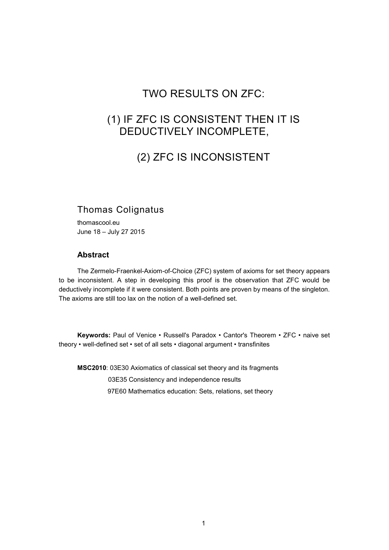## TWO RESULTS ON ZFC:

## (1) IF ZFC IS CONSISTENT THEN IT IS DEDUCTIVELY INCOMPLETE,

# (2) ZFC IS INCONSISTENT

## Thomas Colignatus

thomascool.eu June 18 – July 27 2015

### **Abstract**

The Zermelo-Fraenkel-Axiom-of-Choice (ZFC) system of axioms for set theory appears to be inconsistent. A step in developing this proof is the observation that ZFC would be deductively incomplete if it were consistent. Both points are proven by means of the singleton. The axioms are still too lax on the notion of a well-defined set.

**Keywords:** Paul of Venice • Russell's Paradox • Cantor's Theorem • ZFC • naive set theory • well-defined set • set of all sets • diagonal argument • transfinites

**MSC2010**: 03E30 Axiomatics of classical set theory and its fragments 03E35 Consistency and independence results 97E60 Mathematics education: Sets, relations, set theory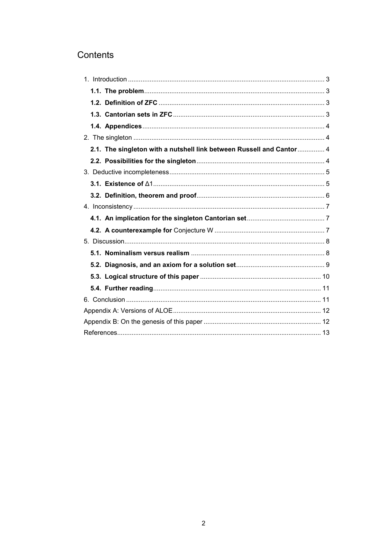## Contents

| 2.1. The singleton with a nutshell link between Russell and Cantor 4 |  |
|----------------------------------------------------------------------|--|
|                                                                      |  |
|                                                                      |  |
|                                                                      |  |
|                                                                      |  |
|                                                                      |  |
|                                                                      |  |
|                                                                      |  |
|                                                                      |  |
|                                                                      |  |
|                                                                      |  |
|                                                                      |  |
|                                                                      |  |
|                                                                      |  |
|                                                                      |  |
|                                                                      |  |
|                                                                      |  |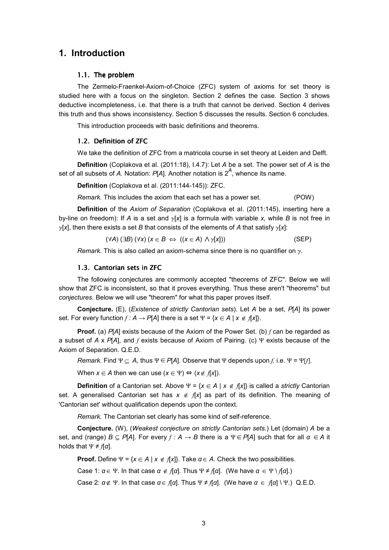### **1. Introduction**

### 1.1. The problem

The Zermelo-Fraenkel-Axiom-of-Choice (ZFC) system of axioms for set theory is studied here with a focus on the singleton. Section 2 defines the case. Section 3 shows deductive incompleteness, i.e. that there is a truth that cannot be derived. Section 4 derives this truth and thus shows inconsistency. Section 5 discusses the results. Section 6 concludes.

This introduction proceeds with basic definitions and theorems.

### 1.2. Definition of ZFC

We take the definition of ZFC from a matricola course in set theory at Leiden and Delft.

**Definition** (Coplakova et al. (2011:18), I.4.7): Let *A* be a set. The power set of *A* is the set of all subsets of *A.* Notation: *P*[*A*]. Another notation is 2*<sup>A</sup>* , whence its name.

**Definition** (Coplakova et al. (2011:144-145)): ZFC.

*Remark.* This includes the axiom that each set has a power set. (POW)

**Definition** of the *Axiom of Separation* (Coplakova et al. (2011:145), inserting here a by-line on freedom): If *A* is a set and  $\gamma$ [*x*] is a formula with variable *x*, while *B* is not free in  $\gamma$ [x], then there exists a set *B* that consists of the elements of *A* that satisfy  $\gamma$ [x]:

$$
(\forall A) (\exists B) (\forall x) (x \in B \iff ((x \in A) \land \gamma[x])) \tag{SEP}
$$

*Remark.* This is also called an axiom-schema since there is no quantifier on  $\gamma$ .

#### 1.3. Cantorian sets in ZFC

The following conjectures are commonly accepted "theorems of ZFC". Below we will show that ZFC is inconsistent, so that it proves everything. Thus these aren't "theorems" but *conjectures.* Below we will use "theorem" for what this paper proves itself.

**Conjecture.** (E), (*Existence of strictly Cantorian sets*)*.* Let *A* be a set, *P*[*A*] its power set. For every function  $f: A \rightarrow P[A]$  there is a set  $\Psi = \{x \in A \mid x \notin f[x]\}.$ 

**Proof.** (a) *P*[*A*] exists because of the Axiom of the Power Set. (b) *f* can be regarded as a subset of *A* x *P*[*A*], and *f* exists because of Axiom of Pairing. (c) Ψ exists because of the Axiom of Separation. Q.E.D.

*Remark.* Find  $\Psi \subseteq A$ , thus  $\Psi \in P[A]$ . Observe that  $\Psi$  depends upon *f*, i.e.  $\Psi = \Psi[f]$ .

When  $x \in A$  then we can use  $(x \in \Psi) \Leftrightarrow (x \notin f[x])$ .

**Definition** of a Cantorian set. Above Ψ = {*x* œ *A* | *x* ∉ *f*[*x*]} is called a *strictly* Cantorian set. A generalised Cantorian set has  $x \notin f[x]$  as part of its definition. The meaning of 'Cantorian set' without qualification depends upon the context.

*Remark.* The Cantorian set clearly has some kind of self-reference.

**Conjecture.** (W), (*Weakest conjecture on strictly Cantorian sets.*) Let (domain) *A* be a set, and (range) *B* Œ *P*[*A*]. For every *f : A* → *B* there is a Ψ∈*P*[*A*] such that for all *α* ∈*A* it holds that  $\Psi \neq f[\alpha]$ .

**Proof.** Define  $\Psi = \{x \in A \mid x \notin f[x]\}$ . Take  $\alpha \in A$ . Check the two possibilities.

Case 1:  $\alpha \in \Psi$ . In that case  $\alpha \notin \mathcal{A}[\alpha]$ . Thus  $\Psi \neq \mathcal{A}[\alpha]$ . (We have  $\alpha \in \Psi \setminus \mathcal{A}[\alpha]$ .)

Case 2:  $\alpha \notin \Psi$ . In that case  $\alpha \in \Lambda[\alpha]$ . Thus  $\Psi \neq \Lambda[\alpha]$ . (We have  $\alpha \in \Lambda[\alpha] \setminus \Psi$ .) Q.E.D.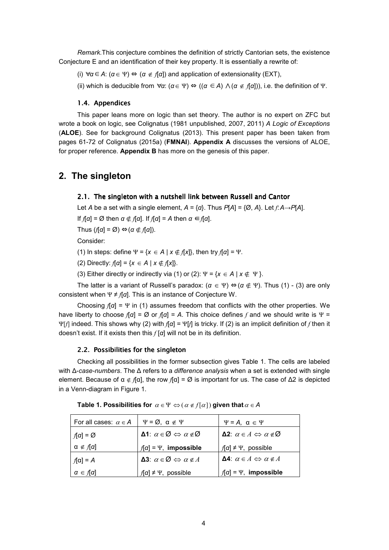*Remark.*This conjecture combines the definition of strictly Cantorian sets, the existence Conjecture E and an identification of their key property. It is essentially a rewrite of:

- (i) ∀*α*∈*A*: (*α*∈ Ψ) ⇔ (*α* ∉ *f*[*α*]) and application of extensionality (EXT),
- (ii) which is deducible from ∀*α*: (*α*∈ Ψ) ⇔ ((*α* ∈*A*) ∧ (*α* ∉ *f*[*α*])), i.e. the definition of Ψ.

### 1.4. Appendices

This paper leans more on logic than set theory. The author is no expert on ZFC but wrote a book on logic, see Colignatus (1981 unpublished, 2007, 2011) *A Logic of Exceptions* (**ALOE**). See for background Colignatus (2013). This present paper has been taken from pages 61-72 of Colignatus (2015a) (**FMNAI**). **Appendix A** discusses the versions of ALOE, for proper reference. **Appendix B** has more on the genesis of this paper.

### **2. The singleton**

### 2.1. The singleton with a nutshell link between Russell and Cantor

Let *A* be a set with a single element,  $A = \{\alpha\}$ . Thus  $P[A] = \{\emptyset, A\}$ . Let  $f: A \rightarrow P[A]$ .

If *f*[*α*] = Ø then *α* – *f*[*α*]. If *f*[*α*] = *A* then *α* ∈*f*[*α*].

Thus  $(f[\alpha] = \emptyset) \Leftrightarrow (\alpha \notin f[\alpha])$ .

Consider:

(1) In steps: define  $\Psi = \{x \in A \mid x \notin f[x]\}$ , then try  $f[\alpha] = \Psi$ .

(2) Directly:  $f[α] = {x ∈ A | x ∉ f[x]}$ .

(3) Either directly or indirectly via (1) or (2):  $\Psi = \{x \in A \mid x \notin \Psi\}$ .

The latter is a variant of Russell's paradox:  $(a \in \Psi) \Leftrightarrow (a \notin \Psi)$ . Thus (1) - (3) are only consistent when Ψ ≠ *f*[*α*]. This is an instance of Conjecture W.

Choosing *f*[*α*] = Ψ in (1) assumes freedom that conflicts with the other properties. We have liberty to choose  $f[\alpha] = \emptyset$  or  $f[\alpha] = A$ . This choice defines f and we should write is  $\Psi =$ Ψ[*f*] indeed. This shows why (2) with *f*[*α*] = Ψ[*f*] is tricky. If (2) is an implicit definition of *f* then it doesn't exist. If it exists then this *f* [*α*] will not be in its definition.

### 2.2. Possibilities for the singleton

Checking all possibilities in the former subsection gives Table 1. The cells are labeled with ∆-*case-numbers*. The ∆ refers to a *difference analysis* when a set is extended with single element. Because of  $\alpha \notin f[\alpha]$ , the row  $f[\alpha] = \emptyset$  is important for us. The case of  $\Delta 2$  is depicted in a Venn-diagram in Figure 1.

| For all cases: $\alpha \in A$ | $\Psi = \emptyset$ , $\alpha \notin \Psi$                          | $\Psi = A$ , $\alpha \in \Psi$                         |
|-------------------------------|--------------------------------------------------------------------|--------------------------------------------------------|
| $f[\alpha] = \varnothing$     | Δ1: $\alpha$ ∈ Ø $\Leftrightarrow$ $\alpha \notin \varnothing$     | <b>Δ2</b> : $\alpha \in A$ ⇔ $\alpha \notin \emptyset$ |
| $\alpha \notin f[\alpha]$     | $f[\alpha] = \Psi$ , impossible                                    | $f[\alpha] \neq \Psi$ , possible                       |
| $f[\alpha] = A$               | <b>Δ3</b> : $\alpha \in \emptyset \Leftrightarrow \alpha \notin A$ | <b>Δ4</b> : $\alpha \in A$ ⇔ $\alpha \notin A$         |
| $\alpha \in f[\alpha]$        | $f[\alpha] \neq \Psi$ , possible                                   | $f[\alpha] = \Psi$ , impossible                        |

Table 1. Possibilities for  $\alpha \in \Psi \Leftrightarrow (\alpha \notin f[\alpha])$  given that  $\alpha \in A$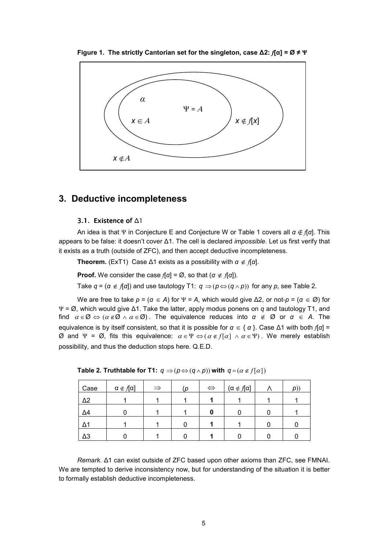

**Figure 1. The strictly Cantorian set for the singleton, case ∆2:** *f***[α] = Ø ≠ Ψ**

### **3. Deductive incompleteness**

### 3.1. Existence of ∆1

An idea is that Ψ in Conjecture E and Conjecture W or Table 1 covers all *α* – *f*[*α*]. This appears to be false: it doesn't cover ∆1. The cell is declared *impossible*. Let us first verify that it exists as a truth (outside of ZFC), and then accept deductive incompleteness.

**Theorem.** (ExT1) Case  $\Delta$ 1 exists as a possibility with  $\alpha \notin \mathcal{A}[\alpha]$ .

**Proof.** We consider the case  $f[a] = \emptyset$ , so that  $(a \notin f[a])$ .

Take  $q = (a \notin f[a])$  and use tautology T1:  $q \Rightarrow (p \Leftrightarrow (q \wedge p))$  for any p, see Table 2.

We are free to take  $p = (a \in A)$  for  $\Psi = A$ , which would give  $\Delta 2$ , or not- $p = (a \in \mathcal{D})$  for Ψ = Ø, which would give ∆1. Take the latter, apply modus ponens on *q* and tautology T1, and find  $\alpha \in \emptyset \Leftrightarrow (\alpha \notin \emptyset \land \alpha \in \emptyset)$ . The equivalence reduces into  $\alpha \notin \emptyset$  or  $\alpha \in A$ . The equivalence is by itself consistent, so that it is possible for  $\alpha \in \{ \alpha \}$ . Case  $\Delta$ 1 with both  $f[\alpha]$  = Ø and Ψ = Ø, fits this equivalence: <sup>α</sup> ∈Ψ ⇔ (<sup>α</sup> ∉ *f* [α] ∧ <sup>α</sup> ∈Ψ) . We merely establish possibility, and thus the deduction stops here. Q.E.D.

| Case       | $\alpha \notin f[\alpha]$ | $\Rightarrow$ | (p | $\Leftrightarrow$ | $(\alpha \notin f[\alpha])$ | p) |
|------------|---------------------------|---------------|----|-------------------|-----------------------------|----|
| $\Delta 2$ |                           |               |    |                   |                             |    |
| $\Delta$ 4 |                           |               |    |                   |                             |    |
| Δ1         |                           |               |    |                   |                             |    |
| $\Delta 3$ |                           |               |    |                   |                             |    |

**Table 2. Truthtable for T1:**  $q \Rightarrow (p \Leftrightarrow (q \wedge p))$  with  $q = (a \notin f[a])$ 

*Remark.* ∆1 can exist outside of ZFC based upon other axioms than ZFC, see FMNAI. We are tempted to derive inconsistency now, but for understanding of the situation it is better to formally establish deductive incompleteness.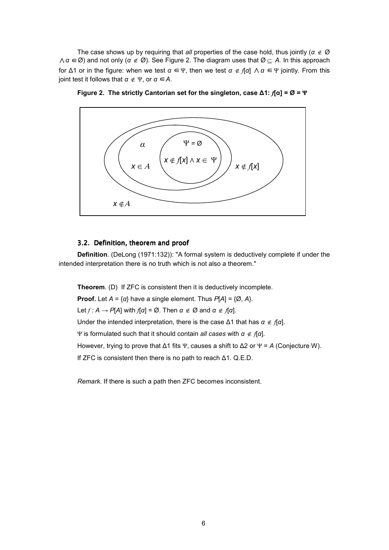The case shows up by requiring that *all* properties of the case hold, thus jointly (*α* ∉ Ø ∧*α* ∈ Ø) and not only (*α* ∉ Ø). See Figure 2. The diagram uses that Ø ⊆ *A.* In this approach for ∆1 or in the figure: when we test *α* ∈Ψ, then we test *α* ∉ *f*[*α*] ∧ *α* ∈Ψ jointly. From this joint test it follows that *α* ∉ Ψ, or *α* ∈*A*.





### 3.2. Definition, theorem and proof

**Definition**. (DeLong (1971:132)): "A formal system is deductively complete if under the intended interpretation there is no truth which is not also a theorem."

**Theorem**. (D) If ZFC is consistent then it is deductively incomplete. **Proof.** Let  $A = \{a\}$  have a single element. Thus  $P[A] = \{Ø, A\}$ .

Let  $f: A \rightarrow P[A]$  with  $f[\alpha] = \emptyset$ . Then  $\alpha \notin \emptyset$  and  $\alpha \notin f[\alpha]$ .

Under the intended interpretation, there is the case  $\Delta$ 1 that has  $\alpha \notin \mathcal{A}$ *a*.

Ψ is formulated such that it should contain *all cases* with *α* ∉ *f*[*α*].

However, trying to prove that ∆1 fits Ψ, causes a shift to ∆2 or Ψ = *A* (Conjecture W).

If ZFC is consistent then there is no path to reach ∆1. Q.E.D.

*Remark.* If there is such a path then ZFC becomes inconsistent.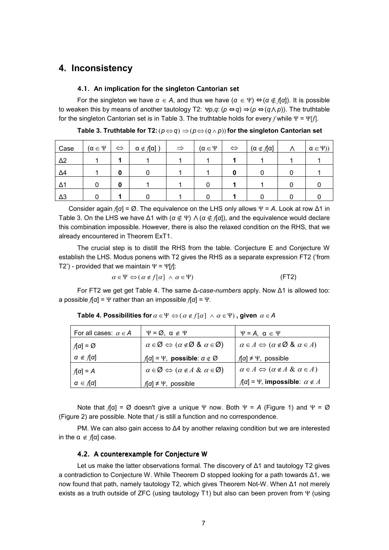### **4. Inconsistency**

#### 4.1. An implication for the singleton Cantorian set

For the singleton we have  $\alpha \in A$ , and thus we have  $(\alpha \in \Psi) \Leftrightarrow (\alpha \notin \mathcal{A}[\alpha])$ . It is possible to weaken this by means of another tautology T2:  $\forall p,q$ : ( $p \Leftrightarrow q$ ) ⇒ ( $p \Leftrightarrow (q \wedge p)$ ). The truthtable for the singleton Cantorian set is in Table 3. The truthtable holds for every *f* while Ψ = Ψ[*f*].

| Case       | $(\alpha \in \Psi)$ | $\Leftrightarrow$ | $\alpha \notin f[\alpha]$ ) | $\Rightarrow$ | $(\alpha \in \Psi)$ | $\Leftrightarrow$ | $(\alpha \notin f[\alpha])$ | $\alpha \in \Psi$ ) |
|------------|---------------------|-------------------|-----------------------------|---------------|---------------------|-------------------|-----------------------------|---------------------|
| $\Delta$ 2 |                     |                   |                             |               |                     |                   |                             |                     |
| $\Delta$ 4 |                     | 0                 |                             |               |                     | O                 |                             |                     |
| Δ1         |                     | 0                 |                             |               |                     |                   |                             |                     |
| $\Delta$ 3 |                     |                   |                             |               |                     |                   |                             |                     |

**Table 3. Truthtable for T2:**  $(p \Leftrightarrow q) \Rightarrow (p \Leftrightarrow (q \wedge p))$  for the singleton Cantorian set

Consider again *f*[*α*] = Ø. The equivalence on the LHS only allows Ψ = *A*. Look at row ∆1 in Table 3. On the LHS we have  $\Delta$ 1 with ( $\alpha \notin \Psi$ )  $\wedge$  ( $\alpha \notin \Pi$ *a*), and the equivalence would declare this combination impossible. However, there is also the relaxed condition on the RHS, that we already encountered in Theorem ExT1.

The crucial step is to distill the RHS from the table. Conjecture E and Conjecture W establish the LHS. Modus ponens with T2 gives the RHS as a separate expression FT2 ('from T2') - provided that we maintain Ψ = Ψ[*f*]:

$$
\alpha \in \Psi \Leftrightarrow (\alpha \notin f[\alpha] \ \land \ \alpha \in \Psi) \tag{FT2}
$$

For FT2 we get get Table 4. The same ∆-*case-numbers* apply. Now ∆1 is allowed too: a possible *f*[*α*] = Ψ rather than an impossible *f*[*α*] = Ψ.

| For all cases: $\alpha \in A$    | $\Psi = \varnothing$ , $\alpha \notin \Psi$                                              | $\Psi = A, \ \alpha \in \Psi$                                            |
|----------------------------------|------------------------------------------------------------------------------------------|--------------------------------------------------------------------------|
| $f[\alpha] = \varnothing$        | $\alpha \in \emptyset \Leftrightarrow (\alpha \notin \emptyset \& \alpha \in \emptyset)$ | $\alpha \in A \Leftrightarrow (\alpha \notin \emptyset \& \alpha \in A)$ |
| $\alpha \notin [\alpha]$         | $f[\alpha] = \Psi$ , possible: $\alpha \notin \varnothing$                               | $f[\alpha] \neq \Psi$ , possible                                         |
| $f[\alpha] = A$                  | $\alpha \in \mathcal{Q} \Leftrightarrow (\alpha \notin A \& \alpha \in \mathcal{Q})$     | $\alpha \in A \Leftrightarrow (\alpha \notin A \& \alpha \in A)$         |
| $\alpha \in \mathcal{A}[\alpha]$ | $f[\alpha] \neq \Psi$ , possible                                                         | $f[\alpha] = \Psi$ , impossible: $\alpha \notin A$                       |

**Table 4. Possibilities for**  $\alpha \in \Psi \Leftrightarrow (\alpha \notin f[\alpha] \land \alpha \in \Psi)$ , given  $\alpha \in A$ 

Note that  $f[\alpha] = \emptyset$  doesn't give a unique Ψ now. Both Ψ = A (Figure 1) and Ψ = Ø (Figure 2) are possible. Note that *f* is still a function and no correspondence.

PM. We can also gain access to ∆4 by another relaxing condition but we are interested in the  $\alpha \notin \mathcal{A}[\alpha]$  case.

### 4.2. A counterexample for Conjecture W

Let us make the latter observations formal. The discovery of ∆1 and tautology T2 gives a contradiction to Conjecture W. While Theorem D stopped looking for a path towards ∆1, we now found that path, namely tautology T2, which gives Theorem Not-W. When ∆1 not merely exists as a truth outside of ZFC (using tautology T1) but also can been proven from Ψ (using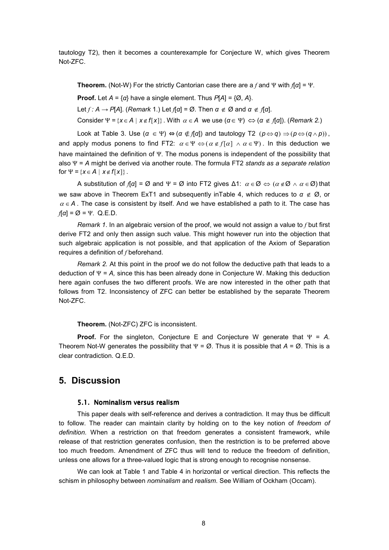tautology T2), then it becomes a counterexample for Conjecture W, which gives Theorem Not-ZFC.

**Theorem.** (Not-W) For the strictly Cantorian case there are a *f* and Ψ with *f*[*α*] = Ψ.

**Proof.** Let  $A = \{a\}$  have a single element. Thus  $P[A] = \{Ø, A\}$ .

Let *f : A* → *P*[*A*]. (*Remark* 1.) Let *f*[*α*] = Ø. Then *α* ∉ Ø and *α* ∉ *f*[*α*].

Consider  $\Psi = \{x \in A \mid x \notin f[x]\}$ . With  $\alpha \in A$  we use  $(\alpha \in \Psi) \Leftrightarrow (\alpha \notin f[\alpha])$ . (*Remark 2.*)

Look at Table 3. Use  $(a \in \Psi) \Leftrightarrow (a \notin f[a])$  and tautology T2  $(p \Leftrightarrow q) \Rightarrow (p \Leftrightarrow (q \wedge p))$ , and apply modus ponens to find FT2:  $\alpha \in \Psi \Leftrightarrow (\alpha \notin f[\alpha] \wedge \alpha \in \Psi)$ . In this deduction we have maintained the definition of Ψ. The modus ponens is independent of the possibility that also Ψ = *A* might be derived via another route. The formula FT2 *stands as a separate relation* for  $\Psi = \{x \in A \mid x \notin f[x]\}$ .

A substitution of  $f[\alpha] = \emptyset$  and  $\Psi = \emptyset$  into FT2 gives  $\Delta$ 1:  $\alpha \in \emptyset \Leftrightarrow (\alpha \notin \emptyset \land \alpha \in \emptyset)$  that we saw above in Theorem ExT1 and subsequently inTable 4, which reduces to *α* ∉ Ø, or  $\alpha \in A$ . The case is consistent by itself. And we have established a path to it. The case has  $f[\alpha] = \emptyset = \Psi$ . Q.E.D.

*Remark 1*. In an algebraic version of the proof, we would not assign a value to *f* but first derive FT2 and only then assign such value. This might however run into the objection that such algebraic application is not possible, and that application of the Axiom of Separation requires a definition of *f* beforehand.

*Remark 2.* At this point in the proof we do not follow the deductive path that leads to a deduction of Ψ = *A,* since this has been already done in Conjecture W. Making this deduction here again confuses the two different proofs. We are now interested in the other path that follows from T2. Inconsistency of ZFC can better be established by the separate Theorem Not-ZFC.

**Theorem.** (Not-ZFC) ZFC is inconsistent.

**Proof.** For the singleton, Conjecture E and Conjecture W generate that Ψ = *A.* Theorem Not-W generates the possibility that  $\Psi = \emptyset$ . Thus it is possible that  $A = \emptyset$ . This is a clear contradiction. Q.E.D.

### **5. Discussion**

### 5.1. Nominalism versus realism

This paper deals with self-reference and derives a contradiction. It may thus be difficult to follow. The reader can maintain clarity by holding on to the key notion of *freedom of definition.* When a restriction on that freedom generates a consistent framework, while release of that restriction generates confusion, then the restriction is to be preferred above too much freedom. Amendment of ZFC thus will tend to reduce the freedom of definition, unless one allows for a three-valued logic that is strong enough to recognise nonsense.

We can look at Table 1 and Table 4 in horizontal or vertical direction. This reflects the schism in philosophy between *nominalism* and *realism*. See William of Ockham (Occam).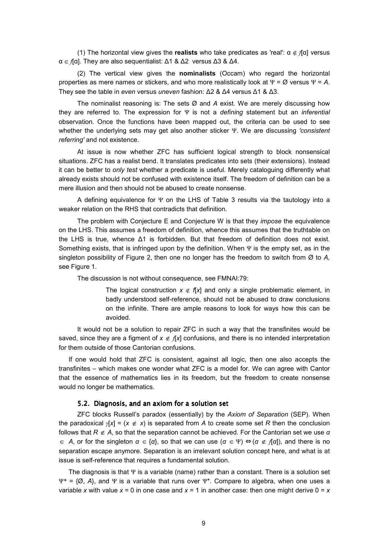(1) The horizontal view gives the **realists** who take predicates as 'real': α – *f*[α] versus α œ *f*[α]. They are also sequentialist: ∆1 & ∆2 versus ∆3 & ∆4.

(2) The vertical view gives the **nominalists** (Occam) who regard the horizontal properties as mere names or stickers, and who more realistically look at  $\Psi = \emptyset$  versus  $\Psi = A$ . They see the table in *even* versus *uneven* fashion: ∆2 & ∆4 versus ∆1 & ∆3.

The nominalist reasoning is: The sets Ø and *A* exist. We are merely discussing how they are referred to. The expression for Ψ is not a *defining* statement but an *inferential* observation. Once the functions have been mapped out, the criteria can be used to see whether the underlying sets may get also another sticker Ψ. We are discussing *'consistent referring'* and not existence.

At issue is now whether ZFC has sufficient logical strength to block nonsensical situations. ZFC has a realist bend. It translates predicates into sets (their extensions). Instead it can be better to *only test* whether a predicate is useful. Merely cataloguing differently what already exists should not be confused with existence itself. The freedom of definition can be a mere illusion and then should not be abused to create nonsense.

A defining equivalence for  $\Psi$  on the LHS of Table 3 results via the tautology into a weaker relation on the RHS that contradicts that definition.

The problem with Conjecture E and Conjecture W is that they *impose* the equivalence on the LHS. This assumes a freedom of definition, whence this assumes that the truthtable on the LHS is true, whence ∆1 is forbidden. But that freedom of definition does not exist. Something exists, that is infringed upon by the definition. When  $\Psi$  is the empty set, as in the singleton possibility of Figure 2, then one no longer has the freedom to switch from Ø to *A,* see Figure 1.

The discussion is not without consequence, see FMNAI:79:

The logical construction  $x \notin f[x]$  and only a single problematic element, in badly understood self-reference, should not be abused to draw conclusions on the infinite. There are ample reasons to look for ways how this can be avoided.

It would not be a solution to repair ZFC in such a way that the transfinites would be saved, since they are a figment of  $x \notin f[x]$  confusions, and there is no intended interpretation for them outside of those Cantorian confusions.

If one would hold that ZFC is consistent, against all logic, then one also accepts the transfinites – which makes one wonder what ZFC is a model for. We can agree with Cantor that the essence of mathematics lies in its freedom, but the freedom to create nonsense would no longer be mathematics.

### 5.2. Diagnosis, and an axiom for a solution set

ZFC blocks Russell's paradox (essentially) by the *Axiom of Separation* (SEP). When the paradoxical  $\gamma[x] = (x \notin x)$  is separated from *A* to create some set *R* then the conclusion follows that *R* ∉ *A*, so that the separation cannot be achieved. For the Cantorian set we use *α* ∈ *A*, or for the singleton *α* ∈ {*α*}, so that we can use (*α* ∈ Ψ) ⇔ (*α* ∉ *f*[*α*]), and there is no separation escape anymore. Separation is an irrelevant solution concept here, and what is at issue is self-reference that requires a fundamental solution.

The diagnosis is that  $\Psi$  is a variable (name) rather than a constant. There is a solution set Ψ\* = {Ø, *A*}, and Ψ is a variable that runs over Ψ\*. Compare to algebra, when one uses a variable *x* with value  $x = 0$  in one case and  $x = 1$  in another case: then one might derive  $0 = x$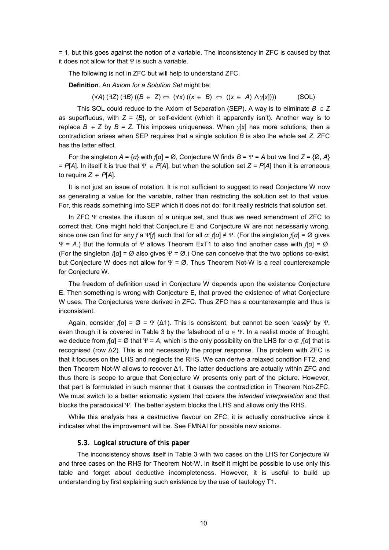= 1, but this goes against the notion of a variable. The inconsistency in ZFC is caused by that it does not allow for that  $\Psi$  is such a variable.

The following is not in ZFC but will help to understand ZFC.

**Definition**. An *Axiom for a Solution Set* might be:

 $(\forall A)(\exists Z)(\exists B)((B \in Z) \Leftrightarrow (\forall x)((x \in B) \Leftrightarrow ((x \in A) \land \gamma[x]))$  (SOL)

This SOL could reduce to the Axiom of Separation (SEP). A way is to eliminate  $B \in Z$ as superfluous, with  $Z = {B}$ , or self-evident (which it apparently isn't). Another way is to replace  $B \in Z$  by  $B = Z$ . This imposes uniqueness. When  $\gamma[x]$  has more solutions, then a contradiction arises when SEP requires that a single solution *B* is also the whole set *Z*. ZFC has the latter effect.

For the singleton  $A = \{a\}$  with  $f[a] = \emptyset$ , Conjecture W finds  $B = \Psi = A$  but we find  $Z = \{\emptyset, A\}$ = *P*[*A*]. In itself it is true that Ψ ∈ *P*[*A*], but when the solution set *Z* = *P*[*A*] then it is erroneous to require  $Z \in P[A]$ .

It is not just an issue of notation. It is not sufficient to suggest to read Conjecture W now as generating a value for the variable, rather than restricting the solution set to that value. For, this reads something into SEP which it does not do: for it really restricts that solution set.

In ZFC Ψ creates the illusion of a unique set, and thus we need amendment of ZFC to correct that. One might hold that Conjecture E and Conjecture W are not necessarily wrong, since one can find for any *f* a Ψ[*f*] such that for all *α*: *f*[*α*] ≠ Ψ. (For the singleton *f*[*α*] = Ø gives Ψ = *A*.) But the formula of Ψ allows Theorem ExT1 to also find another case with *f*[*α*] = Ø. (For the singleton *f*[*α*] = Ø also gives Ψ = Ø.) One can conceive that the two options co-exist, but Conjecture W does not allow for  $\Psi = \emptyset$ . Thus Theorem Not-W is a real counterexample for Conjecture W.

The freedom of definition used in Conjecture W depends upon the existence Conjecture E. Then something is wrong with Conjecture E, that proved the existence of what Conjecture W uses. The Conjectures were derived in ZFC. Thus ZFC has a counterexample and thus is inconsistent.

Again, consider  $f[\alpha] = \emptyset = \Psi(\Delta 1)$ . This is consistent, but cannot be seen *'easily'* by  $\Psi$ , even though it is covered in Table 3 by the falsehood of  $\alpha \in \Psi$ . In a realist mode of thought, we deduce from  $f[\alpha] = \emptyset$  that  $\Psi = A$ , which is the only possibility on the LHS for  $\alpha \notin f[\alpha]$  that is recognised (row ∆2). This is not necessarily the proper response. The problem with ZFC is that it focuses on the LHS and neglects the RHS. We can derive a relaxed condition FT2, and then Theorem Not-W allows to recover ∆1. The latter deductions are actually within ZFC and thus there is scope to argue that Conjecture W presents only part of the picture. However, that part is formulated in such manner that it causes the contradiction in Theorem Not-ZFC. We must switch to a better axiomatic system that covers the *intended interpretation* and that blocks the paradoxical Ψ. The better system blocks the LHS and allows only the RHS.

While this analysis has a destructive flavour on ZFC, it is actually constructive since it indicates what the improvement will be. See FMNAI for possible new axioms.

#### 5.3. Logical structure of this paper

The inconsistency shows itself in Table 3 with two cases on the LHS for Conjecture W and three cases on the RHS for Theorem Not-W. In itself it might be possible to use only this table and forget about deductive incompleteness. However, it is useful to build up understanding by first explaining such existence by the use of tautology T1.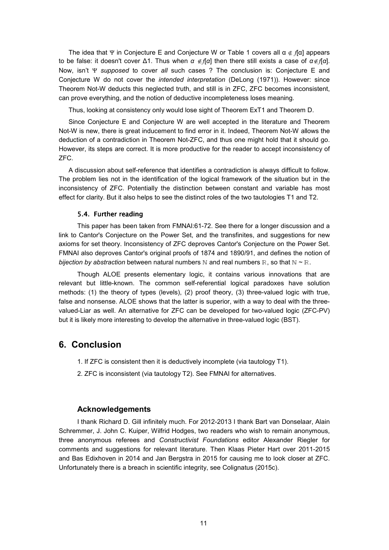The idea that Ψ in Conjecture E and Conjecture W or Table 1 covers all  $\alpha \notin f[\alpha]$  appears to be false: it doesn't cover ∆1. Thus when *α* ∉*f*[*α*] then there still exists a case of *α*∉*f*[*α*]. Now, isn't Ψ *supposed* to cover *all* such cases ? The conclusion is: Conjecture E and Conjecture W do not cover the *intended interpretation* (DeLong (1971)). However: since Theorem Not-W deducts this neglected truth, and still is in ZFC, ZFC becomes inconsistent, can prove everything, and the notion of deductive incompleteness loses meaning.

Thus, looking at consistency only would lose sight of Theorem ExT1 and Theorem D.

Since Conjecture E and Conjecture W are well accepted in the literature and Theorem Not-W is new, there is great inducement to find error in it. Indeed, Theorem Not-W allows the deduction of a contradiction in Theorem Not-ZFC, and thus one might hold that it should go. However, its steps are correct. It is more productive for the reader to accept inconsistency of ZFC.

A discussion about self-reference that identifies a contradiction is always difficult to follow. The problem lies not in the identification of the logical framework of the situation but in the inconsistency of ZFC. Potentially the distinction between constant and variable has most effect for clarity. But it also helps to see the distinct roles of the two tautologies T1 and T2.

#### 5.4. Further reading

This paper has been taken from FMNAI:61-72. See there for a longer discussion and a link to Cantor's Conjecture on the Power Set, and the transfinites, and suggestions for new axioms for set theory. Inconsistency of ZFC deproves Cantor's Conjecture on the Power Set. FMNAI also deproves Cantor's original proofs of 1874 and 1890/91, and defines the notion of bijection by abstraction between natural numbers N and real numbers  $\mathbb{R}$ , so that  $\mathbb{N} \sim \mathbb{R}$ .

Though ALOE presents elementary logic, it contains various innovations that are relevant but little-known. The common self-referential logical paradoxes have solution methods: (1) the theory of types (levels), (2) proof theory, (3) three-valued logic with true, false and nonsense. ALOE shows that the latter is superior, with a way to deal with the threevalued-Liar as well. An alternative for ZFC can be developed for two-valued logic (ZFC-PV) but it is likely more interesting to develop the alternative in three-valued logic (BST).

### **6. Conclusion**

- 1. If ZFC is consistent then it is deductively incomplete (via tautology T1).
- 2. ZFC is inconsistent (via tautology T2). See FMNAI for alternatives.

### **Acknowledgements**

I thank Richard D. Gill infinitely much. For 2012-2013 I thank Bart van Donselaar, Alain Schremmer, J. John C. Kuiper, Wilfrid Hodges, two readers who wish to remain anonymous, three anonymous referees and *Constructivist Foundations* editor Alexander Riegler for comments and suggestions for relevant literature. Then Klaas Pieter Hart over 2011-2015 and Bas Edixhoven in 2014 and Jan Bergstra in 2015 for causing me to look closer at ZFC. Unfortunately there is a breach in scientific integrity, see Colignatus (2015c).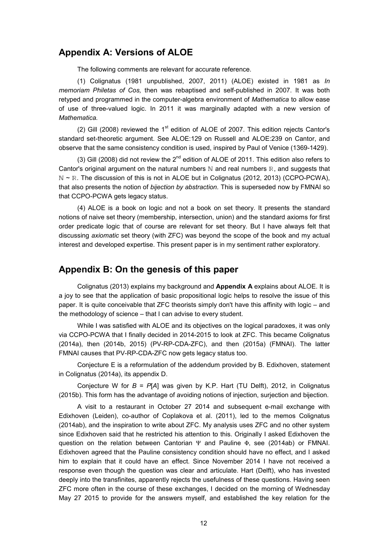### **Appendix A: Versions of ALOE**

The following comments are relevant for accurate reference.

(1) Colignatus (1981 unpublished, 2007, 2011) (ALOE) existed in 1981 as *In memoriam Philetas of Cos,* then was rebaptised and self-published in 2007. It was both retyped and programmed in the computer-algebra environment of *Mathematica* to allow ease of use of three-valued logic. In 2011 it was marginally adapted with a new version of *Mathematica.*

(2) Gill (2008) reviewed the 1<sup>st</sup> edition of ALOE of 2007. This edition rejects Cantor's standard set-theoretic argument. See ALOE:129 on Russell and ALOE:239 on Cantor, and observe that the same consistency condition is used, inspired by Paul of Venice (1369-1429).

(3) Gill (2008) did not review the  $2^{nd}$  edition of ALOE of 2011. This edition also refers to Cantor's original argument on the natural numbers  $\mathbb N$  and real numbers  $\mathbb R$ , and suggests that N ~ R. The discussion of this is not in ALOE but in Colignatus (2012, 2013) (CCPO-PCWA), that also presents the notion of *bijection by abstraction.* This is superseded now by FMNAI so that CCPO-PCWA gets legacy status.

(4) ALOE is a book on logic and not a book on set theory. It presents the standard notions of naive set theory (membership, intersection, union) and the standard axioms for first order predicate logic that of course are relevant for set theory. But I have always felt that discussing *axiomatic* set theory (with ZFC) was beyond the scope of the book and my actual interest and developed expertise. This present paper is in my sentiment rather exploratory.

### **Appendix B: On the genesis of this paper**

Colignatus (2013) explains my background and **Appendix A** explains about ALOE. It is a joy to see that the application of basic propositional logic helps to resolve the issue of this paper. It is quite conceivable that ZFC theorists simply don't have this affinity with logic – and the methodology of science – that I can advise to every student.

While I was satisfied with ALOE and its objectives on the logical paradoxes, it was only via CCPO-PCWA that I finally decided in 2014-2015 to look at ZFC. This became Colignatus (2014a), then (2014b, 2015) (PV-RP-CDA-ZFC), and then (2015a) (FMNAI). The latter FMNAI causes that PV-RP-CDA-ZFC now gets legacy status too.

Conjecture E is a reformulation of the addendum provided by B. Edixhoven, statement in Colignatus (2014a), its appendix D.

Conjecture W for *B* = *P*[*A*] was given by K.P. Hart (TU Delft), 2012, in Colignatus (2015b). This form has the advantage of avoiding notions of injection, surjection and bijection.

A visit to a restaurant in October 27 2014 and subsequent e-mail exchange with Edixhoven (Leiden), co-author of Coplakova et al. (2011), led to the memos Colignatus (2014ab), and the inspiration to write about ZFC. My analysis uses ZFC and no other system since Edixhoven said that he restricted his attention to this. Originally I asked Edixhoven the question on the relation between Cantorian  $\Psi$  and Pauline  $\Phi$ , see (2014ab) or FMNAI. Edixhoven agreed that the Pauline consistency condition should have no effect, and I asked him to explain that it could have an effect. Since November 2014 I have not received a response even though the question was clear and articulate. Hart (Delft), who has invested deeply into the transfinites, apparently rejects the usefulness of these questions. Having seen ZFC more often in the course of these exchanges, I decided on the morning of Wednesday May 27 2015 to provide for the answers myself, and established the key relation for the